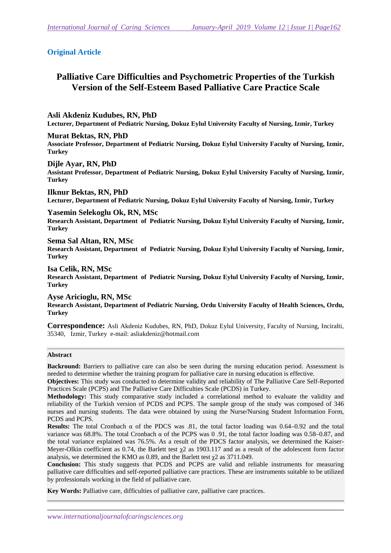# **Original Article**

# **Palliative Care Difficulties and Psychometric Properties of the Turkish Version of the Self-Esteem Based Palliative Care Practice Scale**

#### **Asli Akdeniz Kudubes, RN, PhD**

**Lecturer, Department of Pediatric Nursing, Dokuz Eylul University Faculty of Nursing, Izmir, Turkey** 

**Murat Bektas, RN, PhD Associate Professor, Department of Pediatric Nursing, Dokuz Eylul University Faculty of Nursing, Izmir, Turkey** 

**Dijle Ayar, RN, PhD** 

**Assistant Professor, Department of Pediatric Nursing, Dokuz Eylul University Faculty of Nursing, Izmir, Turkey** 

**Ilknur Bektas, RN, PhD Lecturer, Department of Pediatric Nursing, Dokuz Eylul University Faculty of Nursing, Izmir, Turkey** 

**Yasemin Selekoglu Ok, RN, MSc Research Assistant, Department of Pediatric Nursing, Dokuz Eylul University Faculty of Nursing, Izmir, Turkey** 

**Sema Sal Altan, RN, MSc Research Assistant, Department of Pediatric Nursing, Dokuz Eylul University Faculty of Nursing, Izmir, Turkey** 

**Isa Celik, RN, MSc Research Assistant, Department of Pediatric Nursing, Dokuz Eylul University Faculty of Nursing, Izmir, Turkey** 

**Ayse Aricioglu, RN, MSc Research Assistant, Department of Pediatric Nursing, Ordu University Faculty of Health Sciences, Ordu, Turkey** 

**Correspondence:** Asli Akdeniz Kudubes, RN, PhD, Dokuz Eylul University, Faculty of Nursing, Inciralti, 35340, Izmir, Turkey e-mail: asliakdeniz@hotmail.com

#### **Abstract**

**Backround:** Barriers to palliative care can also be seen during the nursing education period. Assessment is needed to determine whether the training program for palliative care in nursing education is effective.

**Objectives:** This study was conducted to determine validity and reliability of The Palliative Care Self-Reported Practices Scale (PCPS) and The Palliative Care Difficulties Scale (PCDS) in Turkey.

**Methodology:** This study comparative study included a correlational method to evaluate the validity and reliability of the Turkish version of PCDS and PCPS. The sample group of the study was composed of 346 nurses and nursing students. The data were obtained by using the Nurse/Nursing Student Information Form, PCDS and PCPS.

**Results:** The total Cronbach  $\alpha$  of the PDCS was .81, the total factor loading was 0.64–0.92 and the total variance was 68.8%. The total Cronbach α of the PCPS was 0 .91, the total factor loading was 0.58–0.87, and the total variance explained was 76.5%. As a result of the PDCS factor analysis, we determined the Kaiser-Meyer-Olkin coefficient as 0.74, the Barlett test  $\gamma$ 2 as 1903.117 and as a result of the adolescent form factor analysis, we determined the KMO as 0.89, and the Barlett test χ2 as 3711.049.

**Conclusion:** This study suggests that PCDS and PCPS are valid and reliable instruments for measuring palliative care difficulties and self-reported palliative care practices. These are instruments suitable to be utilized by professionals working in the field of palliative care.

**Key Words:** Palliative care, difficulties of palliative care, palliative care practices.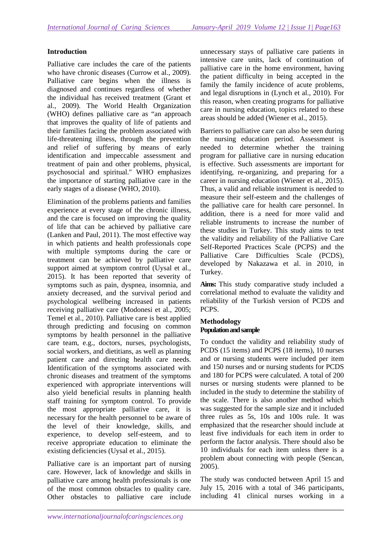# **Introduction**

Palliative care includes the care of the patients who have chronic diseases (Currow et al., 2009). Palliative care begins when the illness is diagnosed and continues regardless of whether the individual has received treatment (Grant et al., 2009). The World Health Organization (WHO) defines palliative care as "an approach that improves the quality of life of patients and their families facing the problem associated with life-threatening illness, through the prevention and relief of suffering by means of early identification and impeccable assessment and treatment of pain and other problems, physical, psychosocial and spiritual." WHO emphasizes the importance of starting palliative care in the early stages of a disease (WHO, 2010).

Elimination of the problems patients and families experience at every stage of the chronic illness, and the care is focused on improving the quality of life that can be achieved by palliative care (Lanken and Paul, 2011). The most effective way in which patients and health professionals cope with multiple symptoms during the care or treatment can be achieved by palliative care support aimed at symptom control (Uysal et al., 2015). It has been reported that severity of symptoms such as pain, dyspnea, insomnia, and anxiety decreased, and the survival period and psychological wellbeing increased in patients receiving palliative care (Modonesi et al., 2005; Temel et al., 2010). Palliative care is best applied through predicting and focusing on common symptoms by health personnel in the palliative care team, e.g., doctors, nurses, psychologists, social workers, and dietitians, as well as planning patient care and directing health care needs. Identification of the symptoms associated with chronic diseases and treatment of the symptoms experienced with appropriate interventions will also yield beneficial results in planning health staff training for symptom control. To provide the most appropriate palliative care, it is necessary for the health personnel to be aware of the level of their knowledge, skills, and experience, to develop self-esteem, and to receive appropriate education to eliminate the existing deficiencies (Uysal et al., 2015).

Palliative care is an important part of nursing care. However, lack of knowledge and skills in palliative care among health professionals is one of the most common obstacles to quality care. Other obstacles to palliative care include

unnecessary stays of palliative care patients in intensive care units, lack of continuation of palliative care in the home environment, having the patient difficulty in being accepted in the family the family incidence of acute problems, and legal disruptions in (Lynch et al., 2010). For this reason, when creating programs for palliative care in nursing education, topics related to these areas should be added (Wiener et al., 2015).

Barriers to palliative care can also be seen during the nursing education period. Assessment is needed to determine whether the training program for palliative care in nursing education is effective. Such assessments are important for identifying, re-organizing, and preparing for a career in nursing education (Wiener et al., 2015). Thus, a valid and reliable instrument is needed to measure their self-esteem and the challenges of the palliative care for health care personnel. In addition, there is a need for more valid and reliable instruments to increase the number of these studies in Turkey. This study aims to test the validity and reliability of the Palliative Care Self-Reported Practices Scale (PCPS) and the Palliative Care Difficulties Scale (PCDS), developed by Nakazawa et al. in 2010, in Turkey.

**Aims:** This study comparative study included a correlational method to evaluate the validity and reliability of the Turkish version of PCDS and PCPS.

#### **Methodology Population and sample**

To conduct the validity and reliability study of PCDS (15 items) and PCPS (18 items), 10 nurses and or nursing students were included per item and 150 nurses and or nursing students for PCDS and 180 for PCPS were calculated. A total of 200 nurses or nursing students were planned to be included in the study to determine the stability of the scale. There is also another method which was suggested for the sample size and it included three rules as 5s, 10s and 100s rule. It was emphasized that the researcher should include at least five individuals for each item in order to perform the factor analysis. There should also be 10 individuals for each item unless there is a problem about connecting with people (Sencan, 2005).

The study was conducted between April 15 and July 15, 2016 with a total of 346 participants, including 41 clinical nurses working in a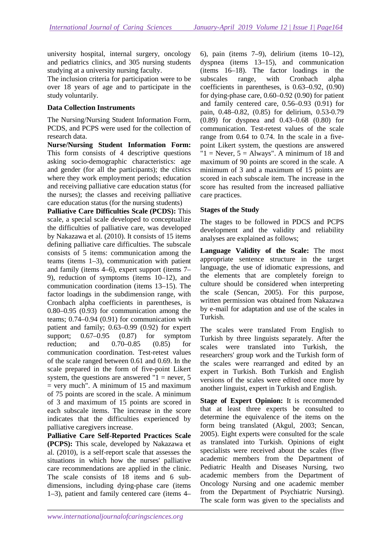university hospital, internal surgery, oncology and pediatrics clinics, and 305 nursing students studying at a university nursing faculty.

The inclusion criteria for participation were to be over 18 years of age and to participate in the study voluntarily.

#### **Data Collection Instruments**

The Nursing/Nursing Student Information Form, PCDS, and PCPS were used for the collection of research data.

**Nurse/Nursing Student Information Form:** This form consists of 4 descriptive questions asking socio-demographic characteristics: age and gender (for all the participants); the clinics where they work employment periods; education and receiving palliative care education status (for the nurses); the classes and receiving palliative care education status (for the nursing students)

**Palliative Care Difficulties Scale (PCDS):** This scale, a special scale developed to conceptualize the difficulties of palliative care, was developed by Nakazawa et al. (2010). It consists of 15 items defining palliative care difficulties. The subscale consists of 5 items: communication among the teams (items 1–3), communication with patient and family (items 4–6), expert support (items 7– 9), reduction of symptoms (items 10–12), and communication coordination (items 13–15). The factor loadings in the subdimension range, with Cronbach alpha coefficients in parentheses, is 0.80–0.95 (0.93) for communication among the teams; 0.74–0.94 (0.91) for communication with patient and family; 0.63–0.99 (0.92) for expert support; 0.67–0.95 (0.87) for symptom reduction; and 0.70–0.85 (0.85) for communication coordination. Test-retest values of the scale ranged between 0.61 and 0.69. In the scale prepared in the form of five-point Likert system, the questions are answered " $1 =$  never, 5  $=$  very much". A minimum of 15 and maximum of 75 points are scored in the scale. A minimum of 3 and maximum of 15 points are scored in each subscale items. The increase in the score indicates that the difficulties experienced by palliative caregivers increase.

**Palliative Care Self-Reported Practices Scale (PCPS):** This scale, developed by Nakazawa et al. (2010), is a self-report scale that assesses the situations in which how the nurses' palliative care recommendations are applied in the clinic. The scale consists of 18 items and 6 subdimensions, including dying-phase care (items 1–3), patient and family centered care (items 4–

6), pain (items  $7-9$ ), delirium (items  $10-12$ ), dyspnea (items 13–15), and communication (items 16–18). The factor loadings in the subscales range, with Cronbach alpha coefficients in parentheses, is 0.63–0.92, (0.90) for dying-phase care, 0.60–0.92 (0.90) for patient and family centered care, 0.56–0.93 (0.91) for pain, 0.48–0.82, (0.85) for delirium, 0.53-0.79 (0.89) for dyspnea and 0.43–0.68 (0.80) for communication. Test-retest values of the scale range from 0.64 to 0.74. In the scale in a fivepoint Likert system, the questions are answered " $1 =$  Never,  $5 =$  Always". A minimum of 18 and maximum of 90 points are scored in the scale. A minimum of 3 and a maximum of 15 points are scored in each subscale item. The increase in the score has resulted from the increased palliative care practices.

# **Stages of the Study**

The stages to be followed in PDCS and PCPS development and the validity and reliability analyses are explained as follows;

**Language Validity of the Scale:** The most appropriate sentence structure in the target language, the use of idiomatic expressions, and the elements that are completely foreign to culture should be considered when interpreting the scale (Sencan, 2005). For this purpose, written permission was obtained from Nakazawa by e-mail for adaptation and use of the scales in Turkish.

The scales were translated From English to Turkish by three linguists separately. After the scales were translated into Turkish, the researchers' group work and the Turkish form of the scales were rearranged and edited by an expert in Turkish. Both Turkish and English versions of the scales were edited once more by another linguist, expert in Turkish and English.

**Stage of Expert Opinion:** It is recommended that at least three experts be consulted to determine the equivalence of the items on the form being translated (Akgul, 2003; Sencan, 2005). Eight experts were consulted for the scale as translated into Turkish. Opinions of eight specialists were received about the scales (five academic members from the Department of Pediatric Health and Diseases Nursing, two academic members from the Department of Oncology Nursing and one academic member from the Department of Psychiatric Nursing). The scale form was given to the specialists and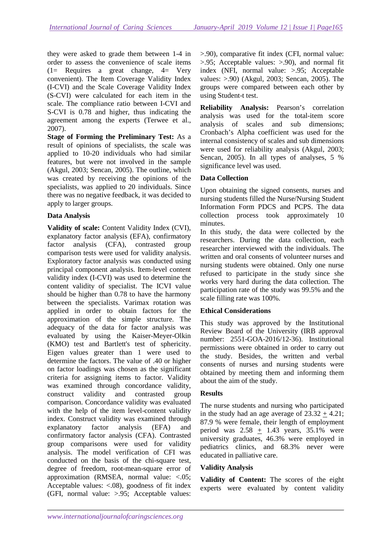they were asked to grade them between 1-4 in order to assess the convenience of scale items  $(1=$  Requires a great change,  $4=$  Very convenient). The Item Coverage Validity Index (I-CVI) and the Scale Coverage Validity Index (S-CVI) were calculated for each item in the scale. The compliance ratio between I-CVI and S-CVI is 0.78 and higher, thus indicating the agreement among the experts (Terwee et al., 2007).

**Stage of Forming the Preliminary Test:** As a result of opinions of specialists, the scale was applied to 10-20 individuals who had similar features, but were not involved in the sample (Akgul, 2003; Sencan, 2005). The outline, which was created by receiving the opinions of the specialists, was applied to 20 individuals. Since there was no negative feedback, it was decided to apply to larger groups.

# **Data Analysis**

Validity of scale: Content Validity Index (CVI), explanatory factor analysis (EFA), confirmatory factor analysis (CFA), contrasted group comparison tests were used for validity analysis. Exploratory factor analysis was conducted using principal component analysis. Item-level content validity index (I-CVI) was used to determine the content validity of specialist. The ICVI value should be higher than 0.78 to have the harmony between the specialists. Varimax rotation was applied in order to obtain factors for the approximation of the simple structure. The adequacy of the data for factor analysis was evaluated by using the Kaiser-Meyer-Olkin (KMO) test and Bartlett's test of sphericity. Eigen values greater than 1 were used to determine the factors. The value of .40 or higher on factor loadings was chosen as the significant criteria for assigning items to factor. Validity was examined through concordance validity, construct validity and contrasted group comparison. Concordance validity was evaluated with the help of the item level-content validity index. Construct validity was examined through explanatory factor analysis (EFA) and confirmatory factor analysis (CFA). Contrasted group comparisons were used for validity analysis. The model verification of CFI was conducted on the basis of the chi-square test, degree of freedom, root-mean-square error of approximation (RMSEA, normal value: <.05; Acceptable values:  $\langle .08 \rangle$ , goodness of fit index (GFI, normal value: >.95; Acceptable values:

>.90), comparative fit index (CFI, normal value: >.95; Acceptable values: >.90), and normal fit index (NFI, normal value: >.95; Acceptable values: >.90) (Akgul, 2003; Sencan, 2005). The groups were compared between each other by using Student-t test.

**Reliability Analysis:** Pearson's correlation analysis was used for the total-item score analysis of scales and sub dimensions; Cronbach's Alpha coefficient was used for the internal consistency of scales and sub dimensions were used for reliability analysis (Akgul, 2003; Sencan, 2005). In all types of analyses, 5 % significance level was used.

# **Data Collection**

Upon obtaining the signed consents, nurses and nursing students filled the Nurse/Nursing Student Information Form PDCS and PCPS. The data collection process took approximately 10 minutes.

In this study, the data were collected by the researchers. During the data collection, each researcher interviewed with the individuals. The written and oral consents of volunteer nurses and nursing students were obtained. Only one nurse refused to participate in the study since she works very hard during the data collection. The participation rate of the study was 99.5% and the scale filling rate was 100%.

# **Ethical Considerations**

This study was approved by the Institutional Review Board of the University (IRB approval number: 2551-GOA-2016/12-36). Institutional permissions were obtained in order to carry out the study. Besides, the written and verbal consents of nurses and nursing students were obtained by meeting them and informing them about the aim of the study.

# **Results**

The nurse students and nursing who participated in the study had an age average of  $23.32 + 4.21$ ; 87.9 % were female, their length of employment period was  $2.58 \pm 1.43$  years,  $35.1\%$  were university graduates, 46.3% were employed in pediatrics clinics, and 68.3% never were educated in palliative care.

# **Validity Analysis**

**Validity of Content:** The scores of the eight experts were evaluated by content validity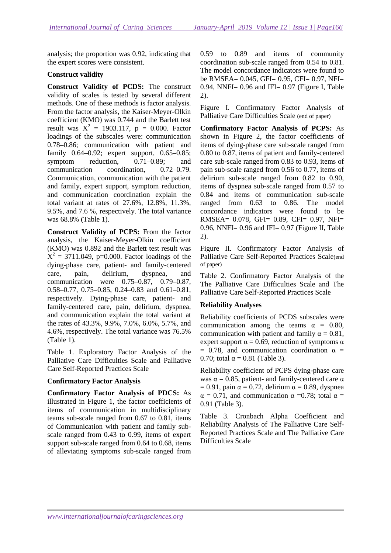analysis; the proportion was 0.92, indicating that the expert scores were consistent.

#### **Construct validity**

**Construct Validity of PCDS:** The construct validity of scales is tested by several different methods. One of these methods is factor analysis. From the factor analysis, the Kaiser-Meyer-Olkin coefficient (KMO) was 0.744 and the Barlett test result was  $X^2 = 1903.117$ ,  $p = 0.000$ . Factor loadings of the subscales were: communication 0.78–0.86; communication with patient and family 0.64–0.92; expert support, 0.65–0.85; symptom reduction,  $0.71-0.89$ ; and communication coordination, 0.72–0.79. Communication, communication with the patient and family, expert support, symptom reduction, and communication coordination explain the total variant at rates of 27.6%, 12.8%, 11.3%, 9.5%, and 7.6 %, respectively. The total variance was 68.8% (Table 1).

**Construct Validity of PCPS:** From the factor analysis, the Kaiser-Meyer-Olkin coefficient (KMO) was 0.892 and the Barlett test result was  $X^2 = 3711.049$ , p=0.000. Factor loadings of the dying-phase care, patient- and family-centered care, pain, delirium, dyspnea, and communication were 0.75–0.87, 0.79–0.87, 0.58–0.77, 0.75–0.85, 0.24–0.83 and 0.61–0.81, respectively. Dying-phase care, patient- and family-centered care, pain, delirium, dyspnea, and communication explain the total variant at the rates of 43.3%, 9.9%, 7.0%, 6.0%, 5.7%, and 4.6%, respectively. The total variance was 76.5% (Table 1).

Table 1. Exploratory Factor Analysis of the Palliative Care Difficulties Scale and Palliative Care Self-Reported Practices Scale

# **Confirmatory Factor Analysis**

**Confirmatory Factor Analysis of PDCS:** As illustrated in Figure 1, the factor coefficients of items of communication in multidisciplinary teams sub-scale ranged from 0.67 to 0.81, items of Communication with patient and family subscale ranged from 0.43 to 0.99, items of expert support sub-scale ranged from 0.64 to 0.68, items of alleviating symptoms sub-scale ranged from 0.59 to 0.89 and items of community coordination sub-scale ranged from 0.54 to 0.81. The model concordance indicators were found to be RMSEA= 0.045, GFI= 0.95, CFI= 0.97, NFI= 0.94, NNFI= 0.96 and IFI= 0.97 (Figure I, Table 2).

Figure I. Confirmatory Factor Analysis of Palliative Care Difficulties Scale (end of paper)

**Confirmatory Factor Analysis of PCPS:** As shown in Figure 2, the factor coefficients of items of dying-phase care sub-scale ranged from 0.80 to 0.87, items of patient and family-centered care sub-scale ranged from 0.83 to 0.93, items of pain sub-scale ranged from 0.56 to 0.77, items of delirium sub-scale ranged from 0.82 to 0.90, items of dyspnea sub-scale ranged from 0.57 to 0.84 and items of communication sub-scale ranged from 0.63 to 0.86. The model concordance indicators were found to be RMSEA= 0.078, GFI= 0.89, CFI= 0.97, NFI= 0.96, NNFI=  $0.96$  and IFI=  $0.97$  (Figure II, Table 2).

Figure II. Confirmatory Factor Analysis of Palliative Care Self-Reported Practices Scale(end of paper)

Table 2. Confirmatory Factor Analysis of the The Palliative Care Difficulties Scale and The Palliative Care Self-Reported Practices Scale

#### **Reliability Analyses**

Reliability coefficients of PCDS subscales were communication among the teams  $\alpha = 0.80$ , communication with patient and family  $\alpha = 0.81$ , expert support  $\alpha = 0.69$ , reduction of symptoms  $\alpha$  $= 0.78$ , and communication coordination  $\alpha =$ 0.70; total  $\alpha = 0.81$  (Table 3).

Reliability coefficient of PCPS dying-phase care was  $\alpha = 0.85$ , patient- and family-centered care  $\alpha$  $= 0.91$ , pain  $\alpha = 0.72$ , delirium  $\alpha = 0.89$ , dyspnea  $\alpha = 0.71$ , and communication  $\alpha = 0.78$ ; total  $\alpha =$ 0.91 (Table 3).

Table 3. Cronbach Alpha Coefficient and Reliability Analysis of The Palliative Care Self-Reported Practices Scale and The Palliative Care Difficulties Scale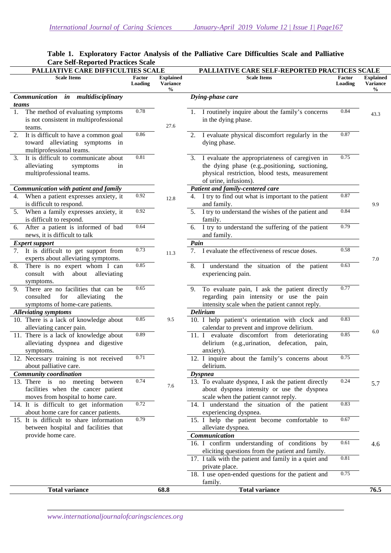| PALLIATIVE CARE DIFFICULTIES SCALE                                                                                     |                   |                                                      | PALLIATIVE CARE SELF-REPORTED PRACTICES SCALE                                                                                                                                   |                   |                                             |  |  |
|------------------------------------------------------------------------------------------------------------------------|-------------------|------------------------------------------------------|---------------------------------------------------------------------------------------------------------------------------------------------------------------------------------|-------------------|---------------------------------------------|--|--|
| <b>Scale Items</b>                                                                                                     | Factor<br>Loading | <b>Explained</b><br><b>Variance</b><br>$\frac{0}{0}$ | <b>Scale Items</b>                                                                                                                                                              | Factor<br>Loading | <b>Explained</b><br><b>Variance</b><br>$\%$ |  |  |
| Communication in multidisciplinary                                                                                     |                   |                                                      | Dying-phase care                                                                                                                                                                |                   |                                             |  |  |
| teams                                                                                                                  |                   |                                                      |                                                                                                                                                                                 |                   |                                             |  |  |
| The method of evaluating symptoms<br>1.<br>is not consistent in multiprofessional<br>teams.                            | 0.78              | 27.6                                                 | 1. I routinely inquire about the family's concerns<br>in the dying phase.                                                                                                       | 0.84              | 43.3                                        |  |  |
| It is difficult to have a common goal<br>2.<br>toward alleviating symptoms in<br>multiprofessional teams.              | 0.86              |                                                      | 2. I evaluate physical discomfort regularly in the<br>dying phase.                                                                                                              | 0.87              |                                             |  |  |
| It is difficult to communicate about<br>3.<br>alleviating<br>symptoms<br>multiprofessional teams.                      | 0.81<br>in        |                                                      | 3. I evaluate the appropriateness of caregiven in<br>the dying phase (e.g., positioning, suctioning,<br>physical restriction, blood tests, measurement<br>of urine, infusions). | 0.75              |                                             |  |  |
| Communication with patient and family                                                                                  |                   |                                                      | Patient and family-centered care                                                                                                                                                |                   |                                             |  |  |
| 4. When a patient expresses anxiety, it<br>is difficult to respond.                                                    | 0.92              | 12.8                                                 | 4. I try to find out what is important to the patient<br>and family.                                                                                                            | 0.87              | 9.9                                         |  |  |
| 5. When a family expresses anxiety, it<br>is difficult to respond.                                                     | 0.92              |                                                      | 5. I try to understand the wishes of the patient and<br>family.                                                                                                                 | 0.84              |                                             |  |  |
| After a patient is informed of bad<br>6.<br>news, it is difficult to talk                                              | 0.64              |                                                      | 6. I try to understand the suffering of the patient<br>and family.                                                                                                              | 0.79              |                                             |  |  |
| <b>Expert support</b>                                                                                                  |                   |                                                      | Pain                                                                                                                                                                            |                   |                                             |  |  |
| 7. It is difficult to get support from<br>experts about alleviating symptoms.                                          | 0.73              | 11.3                                                 | 7. I evaluate the effectiveness of rescue doses.                                                                                                                                | 0.58              | 7.0                                         |  |  |
| There is no expert whom I can<br>8.<br>consult with about<br>alleviating<br>symptoms.                                  | 0.85              |                                                      | 8. I understand the situation of the patient<br>experiencing pain.                                                                                                              | 0.63              |                                             |  |  |
| There are no facilities that can be<br>9.<br>consulted<br>for<br>alleviating<br>the<br>symptoms of home-care patients. | 0.65              |                                                      | To evaluate pain, I ask the patient directly<br>9.<br>regarding pain intensity or use the pain<br>intensity scale when the patient cannot reply.                                | 0.77              |                                             |  |  |
| <b>Alleviating symptoms</b>                                                                                            |                   |                                                      | <b>Delirium</b>                                                                                                                                                                 |                   |                                             |  |  |
| 10. There is a lack of knowledge about<br>alleviating cancer pain.                                                     | 0.85              | 9.5                                                  | 10. I help patient's orientation with clock and<br>calendar to prevent and improve delirium.                                                                                    | 0.83              | 6.0                                         |  |  |
| 11. There is a lack of knowledge about<br>alleviating dyspnea and digestive<br>symptoms.                               | 0.89              |                                                      | 11. I evaluate discomfort from deteriorating<br>delirium (e.g., urination,<br>defecation,<br>pain,<br>anxiety).                                                                 | 0.85              |                                             |  |  |
| 12. Necessary training is not received<br>about palliative care.                                                       | 0.71              |                                                      | 12. I inquire about the family's concerns about<br>delirium.                                                                                                                    | 0.75              |                                             |  |  |
| <b>Community coordination</b>                                                                                          |                   |                                                      | <b>Dyspnea</b>                                                                                                                                                                  |                   |                                             |  |  |
| 13. There is no meeting<br>between<br>facilities when the cancer patient                                               | 0.74              | 7.6                                                  | 13. To evaluate dyspnea, I ask the patient directly<br>about dyspnea intensity or use the dyspnea                                                                               | 0.24              | 5.7                                         |  |  |
| moves from hospital to home care.<br>14. It is difficult to get information<br>about home care for cancer patients.    | 0.72              |                                                      | scale when the patient cannot reply.<br>14. I understand the situation of the patient<br>experiencing dyspnea.                                                                  | 0.83              |                                             |  |  |
| 15. It is difficult to share information<br>between hospital and facilities that                                       | 0.79              |                                                      | 15. I help the patient become comfortable to<br>alleviate dyspnea.                                                                                                              | 0.67              |                                             |  |  |
| provide home care.                                                                                                     |                   |                                                      | Communication                                                                                                                                                                   |                   |                                             |  |  |
|                                                                                                                        |                   |                                                      | 16. I confirm understanding of conditions by                                                                                                                                    | 0.61              | 4.6                                         |  |  |
|                                                                                                                        |                   |                                                      | eliciting questions from the patient and family.<br>17. I talk with the patient and family in a quiet and                                                                       | 0.81              |                                             |  |  |
|                                                                                                                        |                   |                                                      | private place.<br>18. I use open-ended questions for the patient and<br>family.                                                                                                 | 0.75              |                                             |  |  |
| <b>Total variance</b>                                                                                                  |                   | 68.8                                                 | <b>Total variance</b>                                                                                                                                                           |                   | 76.5                                        |  |  |
|                                                                                                                        |                   |                                                      |                                                                                                                                                                                 |                   |                                             |  |  |

# **Table 1. Exploratory Factor Analysis of the Palliative Care Difficulties Scale and Palliative Care Self-Reported Practices Scale**

*www.internationaljournalofcaringsciences.org*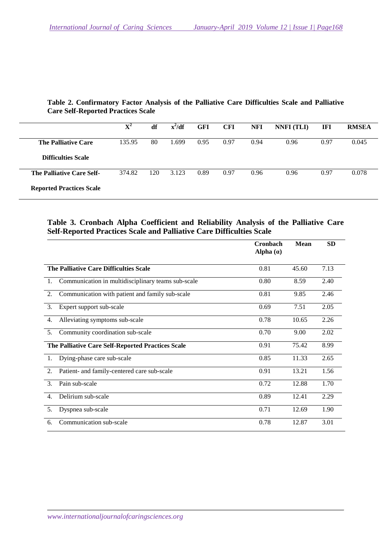**Table 2. Confirmatory Factor Analysis of the Palliative Care Difficulties Scale and Palliative Care Self-Reported Practices Scale** 

|                                 | $X^2$  | df  | $\mathbf{x}^2/\mathbf{df}$ | <b>GFI</b> | <b>CFI</b> | <b>NFI</b> | NNFI (TLI) | IFI  | <b>RMSEA</b> |
|---------------------------------|--------|-----|----------------------------|------------|------------|------------|------------|------|--------------|
| <b>The Palliative Care</b>      | 135.95 | 80  | 1.699                      | 0.95       | 0.97       | 0.94       | 0.96       | 0.97 | 0.045        |
| <b>Difficulties Scale</b>       |        |     |                            |            |            |            |            |      |              |
| The Palliative Care Self-       | 374.82 | 120 | 3.123                      | 0.89       | 0.97       | 0.96       | 0.96       | 0.97 | 0.078        |
| <b>Reported Practices Scale</b> |        |     |                            |            |            |            |            |      |              |

# **Table 3. Cronbach Alpha Coefficient and Reliability Analysis of the Palliative Care Self-Reported Practices Scale and Palliative Care Difficulties Scale**

|                        |                                                    | Cronbach<br>Alpha $(a)$ | <b>Mean</b> | <b>SD</b> |
|------------------------|----------------------------------------------------|-------------------------|-------------|-----------|
|                        | The Palliative Care Difficulties Scale             | 0.81                    | 45.60       | 7.13      |
| $\pm$                  | Communication in multidisciplinary teams sub-scale | 0.80                    | 8.59        | 2.40      |
| 2.                     | Communication with patient and family sub-scale    | 0.81                    | 9.85        | 2.46      |
| 3.                     | Expert support sub-scale                           | 0.69                    | 7.51        | 2.05      |
| 4.                     | Alleviating symptoms sub-scale                     | 0.78                    | 10.65       | 2.26      |
| 5 <sub>1</sub>         | Community coordination sub-scale                   | 0.70                    | 9.00        | 2.02      |
|                        | The Palliative Care Self-Reported Practices Scale  | 0.91                    | 75.42       | 8.99      |
| 1.                     | Dying-phase care sub-scale                         | 0.85                    | 11.33       | 2.65      |
| 2.                     | Patient- and family-centered care sub-scale        | 0.91                    | 13.21       | 1.56      |
| $\mathcal{R}_{\alpha}$ | Pain sub-scale                                     | 0.72                    | 12.88       | 1.70      |
| $\overline{4}$ .       | Delirium sub-scale                                 | 0.89                    | 12.41       | 2.29      |
| 5.                     | Dyspnea sub-scale                                  | 0.71                    | 12.69       | 1.90      |
| 6.                     | Communication sub-scale                            | 0.78                    | 12.87       | 3.01      |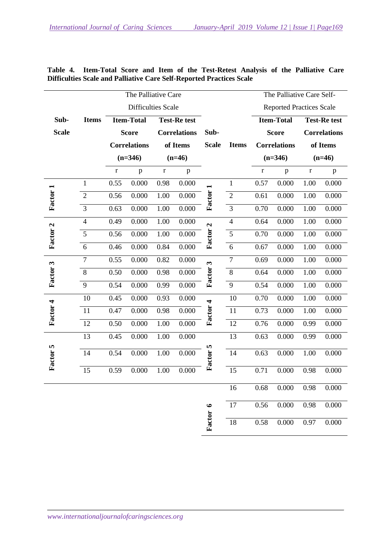|                     |                |         | The Palliative Care       |             |                                                                                |                     |                |                   | The Palliative Care Self-       |                     |          |
|---------------------|----------------|---------|---------------------------|-------------|--------------------------------------------------------------------------------|---------------------|----------------|-------------------|---------------------------------|---------------------|----------|
|                     |                |         | <b>Difficulties Scale</b> |             |                                                                                |                     |                |                   | <b>Reported Practices Scale</b> |                     |          |
| Sub-                | <b>Items</b>   |         | <b>Item-Total</b>         |             | <b>Test-Re test</b><br>Sub-<br><b>Correlations</b><br>of Items<br><b>Scale</b> |                     |                | <b>Item-Total</b> |                                 | <b>Test-Re test</b> |          |
| <b>Scale</b>        |                |         | <b>Score</b>              |             |                                                                                |                     |                |                   | <b>Score</b>                    | <b>Correlations</b> |          |
|                     |                |         | <b>Correlations</b>       |             |                                                                                |                     | <b>Items</b>   |                   | <b>Correlations</b>             |                     | of Items |
|                     |                |         | $(n=346)$                 | $(n=46)$    |                                                                                |                     |                |                   | $(n=346)$                       |                     | $(n=46)$ |
|                     |                | $\bf r$ | p                         | $\mathbf r$ | $\mathbf{p}$                                                                   |                     |                | $\mathbf r$       | p                               | $\mathbf r$         | p        |
|                     | $\mathbf{1}$   | 0.55    | 0.000                     | 0.98        | 0.000                                                                          | $\blacksquare$      | $\mathbf{1}$   | 0.57              | 0.000                           | 1.00                | 0.000    |
| Factor 1            | $\overline{2}$ | 0.56    | 0.000                     | 1.00        | 0.000                                                                          | Factor              | $\sqrt{2}$     | 0.61              | 0.000                           | 1.00                | 0.000    |
|                     | 3              | 0.63    | 0.000                     | 1.00        | 0.000                                                                          |                     | $\overline{3}$ | 0.70              | 0.000                           | 1.00                | 0.000    |
|                     | $\overline{4}$ | 0.49    | 0.000                     | 1.00        | 0.000                                                                          | $\mathbf{z}$        | $\overline{4}$ | 0.64              | 0.000                           | 1.00                | 0.000    |
| Factor <sub>2</sub> | 5              | 0.56    | 0.000                     | 1.00        | 0.000                                                                          | Factor <sup>?</sup> | $\overline{5}$ | 0.70              | 0.000                           | 1.00                | 0.000    |
|                     | 6              | 0.46    | 0.000                     | 0.84        | 0.000                                                                          |                     | 6              | 0.67              | 0.000                           | 1.00                | 0.000    |
|                     | $\overline{7}$ | 0.55    | 0.000                     | 0.82        | 0.000                                                                          | $\mathfrak{g}$      | $\overline{7}$ | 0.69              | 0.000                           | 1.00                | 0.000    |
| Factor 3            | 8              | 0.50    | 0.000                     | 0.98        | 0.000                                                                          | <b>Factor</b>       | 8              | 0.64              | 0.000                           | 1.00                | 0.000    |
|                     | 9              | 0.54    | 0.000                     | 0.99        | 0.000                                                                          |                     | 9              | 0.54              | 0.000                           | 1.00                | 0.000    |
|                     | 10             | 0.45    | 0.000                     | 0.93        | 0.000                                                                          |                     | 10             | 0.70              | 0.000                           | 1.00                | 0.000    |
| Factor 4            | 11             | 0.47    | 0.000                     | 0.98        | 0.000                                                                          | Factor 4            | 11             | 0.73              | 0.000                           | 1.00                | 0.000    |
|                     | 12             | 0.50    | 0.000                     | 1.00        | 0.000                                                                          |                     | 12             | 0.76              | 0.000                           | 0.99                | 0.000    |
|                     | 13             | 0.45    | 0.000                     | 1.00        | 0.000                                                                          |                     | 13             | 0.63              | 0.000                           | 0.99                | 0.000    |
| Factor 5            | 14             | 0.54    | 0.000                     | 1.00        | 0.000                                                                          | Factor 5            | 14             | 0.63              | 0.000                           | 1.00                | 0.000    |
|                     | 15             | 0.59    | 0.000                     | 1.00        | 0.000                                                                          |                     | 15             | 0.71              | 0.000                           | 0.98                | 0.000    |
|                     |                |         |                           |             |                                                                                |                     | 16             | 0.68              | 0.000                           | 0.98                | 0.000    |
|                     |                |         |                           |             |                                                                                |                     | 17             | 0.56              | 0.000                           | 0.98                | 0.000    |
|                     |                |         |                           |             |                                                                                | Factor 6            | 18             | 0.58              | 0.000                           | 0.97                | 0.000    |

|  |  |  | Table 4. Item-Total Score and Item of the Test-Retest Analysis of the Palliative Care |  |  |  |
|--|--|--|---------------------------------------------------------------------------------------|--|--|--|
|  |  |  | Difficulties Scale and Palliative Care Self-Reported Practices Scale                  |  |  |  |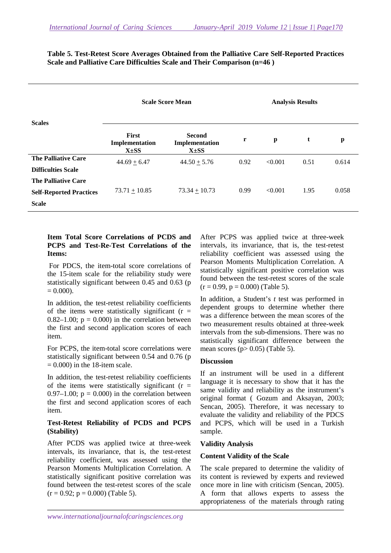| <b>Scales</b>                  |                                             | <b>Scale Score Mean</b>                      | <b>Analysis Results</b> |              |      |       |  |  |
|--------------------------------|---------------------------------------------|----------------------------------------------|-------------------------|--------------|------|-------|--|--|
|                                | <b>First</b><br>Implementation<br>$X\pm SS$ | <b>Second</b><br>Implementation<br>$X\pm SS$ | r                       | $\mathbf{p}$ | t    | p     |  |  |
| <b>The Palliative Care</b>     | $44.69 \pm 6.47$                            | $44.50 \pm 5.76$                             | 0.92                    | < 0.001      | 0.51 | 0.614 |  |  |
| <b>Difficulties Scale</b>      |                                             |                                              |                         |              |      |       |  |  |
| <b>The Palliative Care</b>     |                                             |                                              |                         |              |      |       |  |  |
| <b>Self-Reported Practices</b> | $73.71 \pm 10.85$                           | $73.34 \pm 10.73$                            | 0.99                    | < 0.001      | 1.95 | 0.058 |  |  |
| <b>Scale</b>                   |                                             |                                              |                         |              |      |       |  |  |

# **Table 5. Test-Retest Score Averages Obtained from the Palliative Care Self-Reported Practices Scale and Palliative Care Difficulties Scale and Their Comparison (n=46 )**

# **Item Total Score Correlations of PCDS and PCPS and Test-Re-Test Correlations of the Items:**

 For PDCS, the item-total score correlations of the 15-item scale for the reliability study were statistically significant between 0.45 and 0.63 (p  $= 0.000$ ).

In addition, the test-retest reliability coefficients of the items were statistically significant ( $r =$ 0.82–1.00;  $p = 0.000$ ) in the correlation between the first and second application scores of each item.

For PCPS, the item-total score correlations were statistically significant between 0.54 and 0.76 (p  $= 0.000$  in the 18-item scale.

In addition, the test-retest reliability coefficients of the items were statistically significant  $(r =$ 0.97–1.00;  $p = 0.000$  in the correlation between the first and second application scores of each item.

#### **Test-Retest Reliability of PCDS and PCPS (Stability)**

After PCDS was applied twice at three-week intervals, its invariance, that is, the test-retest reliability coefficient, was assessed using the Pearson Moments Multiplication Correlation. A statistically significant positive correlation was found between the test-retest scores of the scale  $(r = 0.92; p = 0.000)$  (Table 5).

After PCPS was applied twice at three-week intervals, its invariance, that is, the test-retest reliability coefficient was assessed using the Pearson Moments Multiplication Correlation. A statistically significant positive correlation was found between the test-retest scores of the scale  $(r = 0.99, p = 0.000)$  (Table 5).

In addition, a Student's *t* test was performed in dependent groups to determine whether there was a difference between the mean scores of the two measurement results obtained at three-week intervals from the sub-dimensions. There was no statistically significant difference between the mean scores ( $p > 0.05$ ) (Table 5).

# **Discussion**

If an instrument will be used in a different language it is necessary to show that it has the same validity and reliability as the instrument's original format ( Gozum and Aksayan, 2003; Sencan, 2005). Therefore, it was necessary to evaluate the validity and reliability of the PDCS and PCPS, which will be used in a Turkish sample.

#### **Validity Analysis**

# **Content Validity of the Scale**

The scale prepared to determine the validity of its content is reviewed by experts and reviewed once more in line with criticism (Sencan, 2005). A form that allows experts to assess the appropriateness of the materials through rating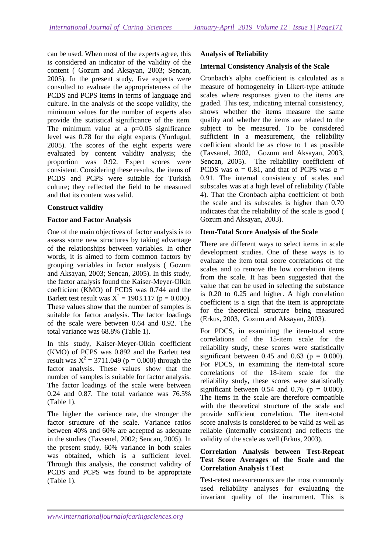can be used. When most of the experts agree, this is considered an indicator of the validity of the content ( Gozum and Aksayan, 2003; Sencan, 2005). In the present study, five experts were consulted to evaluate the appropriateness of the PCDS and PCPS items in terms of language and culture. In the analysis of the scope validity, the minimum values for the number of experts also provide the statistical significance of the item. The minimum value at a  $p=0.05$  significance level was 0.78 for the eight experts (Yurdugul, 2005). The scores of the eight experts were evaluated by content validity analysis; the proportion was 0.92. Expert scores were consistent. Considering these results, the items of PCDS and PCPS were suitable for Turkish culture; they reflected the field to be measured and that its content was valid.

#### **Construct validity**

# **Factor and Factor Analysis**

One of the main objectives of factor analysis is to assess some new structures by taking advantage of the relationships between variables. In other words, it is aimed to form common factors by grouping variables in factor analysis ( Gozum and Aksayan, 2003; Sencan, 2005). In this study, the factor analysis found the Kaiser-Meyer-Olkin coefficient (KMO) of PCDS was 0.744 and the Barlett test result was  $X^2 = 1903.117$  (p = 0.000). These values show that the number of samples is suitable for factor analysis. The factor loadings of the scale were between 0.64 and 0.92. The total variance was 68.8% (Table 1).

In this study, Kaiser-Meyer-Olkin coefficient (KMO) of PCPS was 0.892 and the Barlett test result was  $X^2 = 3711.049$  (p = 0.000) through the factor analysis. These values show that the number of samples is suitable for factor analysis. The factor loadings of the scale were between 0.24 and 0.87. The total variance was 76.5% (Table 1).

The higher the variance rate, the stronger the factor structure of the scale. Variance ratios between 40% and 60% are accepted as adequate in the studies (Tavsenel, 2002; Sencan, 2005). In the present study, 60% variance in both scales was obtained, which is a sufficient level. Through this analysis, the construct validity of PCDS and PCPS was found to be appropriate (Table 1).

#### **Analysis of Reliability**

#### **Internal Consistency Analysis of the Scale**

Cronbach's alpha coefficient is calculated as a measure of homogeneity in Likert-type attitude scales where responses given to the items are graded. This test, indicating internal consistency, shows whether the items measure the same quality and whether the items are related to the subject to be measured. To be considered sufficient in a measurement, the reliability coefficient should be as close to 1 as possible (Tavsanel, 2002, Gozum and Aksayan, 2003, Sencan, 2005). The reliability coefficient of PCDS was  $\alpha = 0.81$ , and that of PCPS was  $\alpha =$ 0.91. The internal consistency of scales and subscales was at a high level of reliability (Table 4). That the Cronbach alpha coefficient of both the scale and its subscales is higher than 0.70 indicates that the reliability of the scale is good ( Gozum and Aksayan, 2003).

#### **Item-Total Score Analysis of the Scale**

There are different ways to select items in scale development studies. One of these ways is to evaluate the item total score correlations of the scales and to remove the low correlation items from the scale. It has been suggested that the value that can be used in selecting the substance is 0.20 to 0.25 and higher. A high correlation coefficient is a sign that the item is appropriate for the theoretical structure being measured (Erkus, 2003, Gozum and Aksayan, 2003).

For PDCS, in examining the item-total score correlations of the 15-item scale for the reliability study, these scores were statistically significant between 0.45 and 0.63 ( $p = 0.000$ ). For PDCS, in examining the item-total score correlations of the 18-item scale for the reliability study, these scores were statistically significant between 0.54 and 0.76 ( $p = 0.000$ ). The items in the scale are therefore compatible with the theoretical structure of the scale and provide sufficient correlation. The item-total score analysis is considered to be valid as well as reliable (internally consistent) and reflects the validity of the scale as well (Erkus, 2003).

#### **Correlation Analysis between Test-Repeat Test Score Averages of the Scale and the Correlation Analysis t Test**

Test-retest measurements are the most commonly used reliability analyses for evaluating the invariant quality of the instrument. This is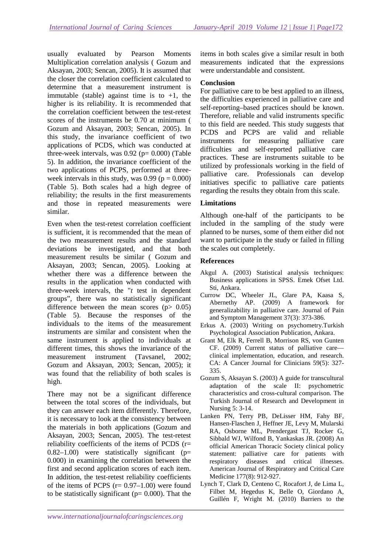usually evaluated by Pearson Moments Multiplication correlation analysis ( Gozum and Aksayan, 2003; Sencan, 2005). It is assumed that the closer the correlation coefficient calculated to determine that a measurement instrument is immutable (stable) against time is to  $+1$ , the higher is its reliability. It is recommended that the correlation coefficient between the test-retest scores of the instruments be 0.70 at minimum ( Gozum and Aksayan, 2003; Sencan, 2005). In this study, the invariance coefficient of two applications of PCDS, which was conducted at three-week intervals, was  $0.92$  ( $p = 0.000$ ) (Table 5). In addition, the invariance coefficient of the two applications of PCPS, performed at threeweek intervals in this study, was  $0.99$  ( $p = 0.000$ ) (Table 5). Both scales had a high degree of reliability; the results in the first measurements and those in repeated measurements were similar.

Even when the test-retest correlation coefficient is sufficient, it is recommended that the mean of the two measurement results and the standard deviations be investigated, and that both measurement results be similar ( Gozum and Aksayan, 2003; Sencan, 2005). Looking at whether there was a difference between the results in the application when conducted with three-week intervals, the "*t* test in dependent groups", there was no statistically significant difference between the mean scores  $(p > 0.05)$ (Table 5). Because the responses of the individuals to the items of the measurement instruments are similar and consistent when the same instrument is applied to individuals at different times, this shows the invariance of the measurement instrument (Tavsanel, 2002; Gozum and Aksayan, 2003; Sencan, 2005); it was found that the reliability of both scales is high.

There may not be a significant difference between the total scores of the individuals, but they can answer each item differently. Therefore, it is necessary to look at the consistency between the materials in both applications (Gozum and Aksayan, 2003; Sencan, 2005). The test-retest reliability coefficients of the items of PCDS (r=  $(0.82-1.00)$  were statistically significant (p= 0.000) in examining the correlation between the first and second application scores of each item. In addition, the test-retest reliability coefficients of the items of PCPS  $(r= 0.97-1.00)$  were found to be statistically significant ( $p= 0.000$ ). That the

items in both scales give a similar result in both measurements indicated that the expressions were understandable and consistent.

#### **Conclusion**

For palliative care to be best applied to an illness, the difficulties experienced in palliative care and self-reporting–based practices should be known. Therefore, reliable and valid instruments specific to this field are needed. This study suggests that PCDS and PCPS are valid and reliable instruments for measuring palliative care difficulties and self-reported palliative care practices. These are instruments suitable to be utilized by professionals working in the field of palliative care. Professionals can develop initiatives specific to palliative care patients regarding the results they obtain from this scale.

# **Limitations**

Although one-half of the participants to be included in the sampling of the study were planned to be nurses, some of them either did not want to participate in the study or failed in filling the scales out completely.

#### **References**

- Akgul A. (2003) Statistical analysis techniques: Business applications in SPSS. Emek Ofset Ltd. Sti, Ankara.
- Currow DC, Wheeler JL, Glare PA, Kaasa S, Abernethy AP. (2009) A framework for generalizability in palliative care. Journal of Pain and Symptom Management 37(3): 373-386.
- Erkus A. (2003) Writing on psychometry.Turkish Psychological Association Publication, Ankara.
- Grant M, Elk R, Ferrell B, Morrison RS, von Gunten CF. (2009) Current status of palliative care clinical implementation, education, and research. CA: A Cancer Journal for Clinicians 59(5): 327- 335.
- Gozum S, Aksayan S. (2003) A guide for transcultural adaptation of the scale II: psychometric characteristics and cross-cultural comparison. The Turkish Journal of Research and Development in Nursing 5: 3-14.
- Lanken PN, Terry PB, DeLisser HM, Fahy BF, Hansen-Flaschen J, Heffner JE, Levy M, Mularski RA, Osborne ML, Prendergast TJ, Rocker G, Sibbald WJ, Wilfond B, Yankaskas JR. (2008) An official American Thoracic Society clinical policy statement: palliative care for patients with respiratory diseases and critical illnesses. American Journal of Respiratory and Critical Care Medicine 177(8): 912-927.
- Lynch T, Clark D, Centeno C, Rocafort J, de Lima L, Filbet M, Hegedus K, Belle O, Giordano A, Guillén F, Wright M. (2010) Barriers to the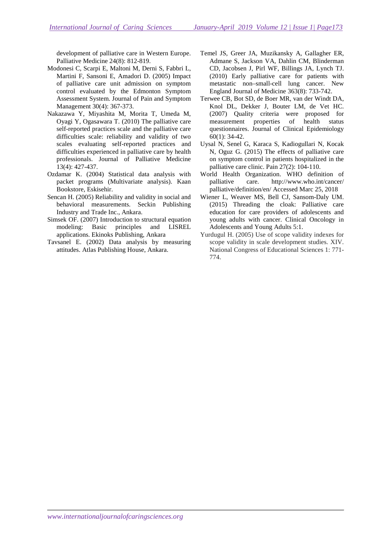development of palliative care in Western Europe. Palliative Medicine 24(8): 812-819.

- Modonesi C, Scarpi E, Maltoni M, Derni S, Fabbri L, Martini F, Sansoni E, Amadori D. (2005) Impact of palliative care unit admission on symptom control evaluated by the Edmonton Symptom Assessment System. Journal of Pain and Symptom Management 30(4): 367-373.
- Nakazawa Y, Miyashita M, Morita T, Umeda M, Oyagi Y, Ogasawara T. (2010) The palliative care self-reported practices scale and the palliative care difficulties scale: reliability and validity of two scales evaluating self-reported practices and difficulties experienced in palliative care by health professionals. Journal of Palliative Medicine 13(4): 427-437.
- Ozdamar K. (2004) Statistical data analysis with packet programs (Multivariate analysis). Kaan Bookstore, Eskisehir.
- Sencan H. (2005) Reliability and validity in social and behavioral measurements. Seckin Publishing Industry and Trade Inc., Ankara.
- Simsek OF. (2007) Introduction to structural equation modeling: Basic principles and LISREL applications. Ekinoks Publishing, Ankara
- Tavsanel E. (2002) Data analysis by measuring attitudes. Atlas Publishing House, Ankara.
- Temel JS, Greer JA, Muzikansky A, Gallagher ER, Admane S, Jackson VA, Dahlin CM, Blinderman CD, Jacobsen J, Pirl WF, Billings JA, Lynch TJ. (2010) Early palliative care for patients with metastatic non–small-cell lung cancer. New England Journal of Medicine 363(8): 733-742.
- Terwee CB, Bot SD, de Boer MR, van der Windt DA, Knol DL, Dekker J, Bouter LM, de Vet HC. (2007) Quality criteria were proposed for measurement properties of health status questionnaires. Journal of Clinical Epidemiology 60(1): 34-42.
- Uysal N, Senel G, Karaca S, Kadiogullari N, Kocak N, Oguz G. (2015) The effects of palliative care on symptom control in patients hospitalized in the palliative care clinic. Pain 27(2): 104-110.
- World Health Organization. WHO definition of palliative care. http://www.who.int/cancer/ palliative/definition/en/ Accessed Marc 25, 2018
- Wiener L, Weaver MS, Bell CJ, Sansom-Daly UM. (2015) Threading the cloak: Palliative care education for care providers of adolescents and young adults with cancer. Clinical Oncology in Adolescents and Young Adults 5:1.
- Yurdugul H. (2005) Use of scope validity indexes for scope validity in scale development studies. XIV. National Congress of Educational Sciences 1: 771- 774.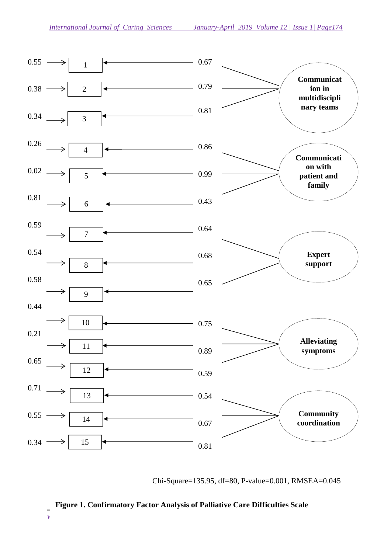

Chi-Square=135.95, df=80, P-value=0.001, RMSEA=0.045

# **Figure 1. Confirmatory Factor Analysis of Palliative Care Difficulties Scale**